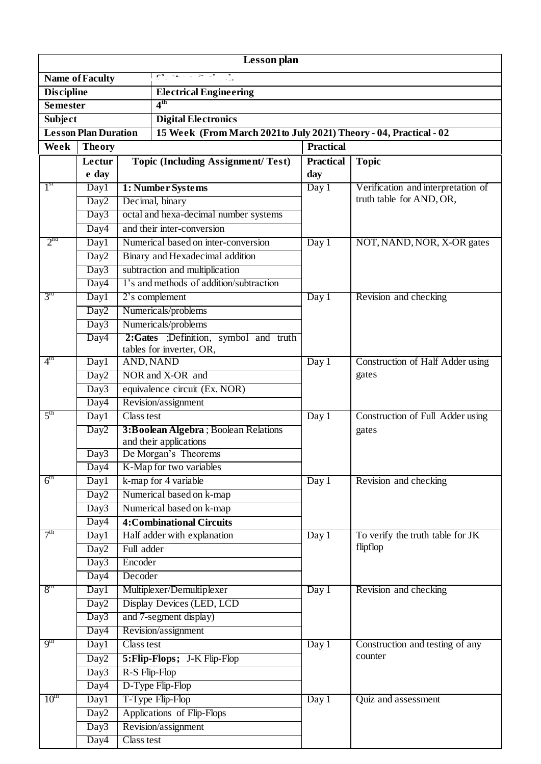| <b>Lesson</b> plan                   |                             |                                 |                                              |                                                                    |                                                                |  |  |  |  |
|--------------------------------------|-----------------------------|---------------------------------|----------------------------------------------|--------------------------------------------------------------------|----------------------------------------------------------------|--|--|--|--|
| $C^* = 74$<br><b>Name of Faculty</b> |                             |                                 |                                              |                                                                    |                                                                |  |  |  |  |
| <b>Discipline</b>                    |                             |                                 | <b>Electrical Engineering</b>                |                                                                    |                                                                |  |  |  |  |
| <b>Semester</b>                      |                             |                                 | $4^{\text{th}}$                              |                                                                    |                                                                |  |  |  |  |
| <b>Subject</b>                       |                             |                                 | <b>Digital Electronics</b>                   |                                                                    |                                                                |  |  |  |  |
|                                      | <b>Lesson Plan Duration</b> |                                 |                                              | 15 Week (From March 2021 to July 2021) Theory - 04, Practical - 02 |                                                                |  |  |  |  |
| Week<br><b>Theory</b>                |                             |                                 | <b>Practical</b>                             |                                                                    |                                                                |  |  |  |  |
|                                      | Lectur                      |                                 | <b>Topic (Including Assignment/Test)</b>     | <b>Practical</b>                                                   | <b>Topic</b>                                                   |  |  |  |  |
|                                      | e day                       |                                 |                                              | day                                                                |                                                                |  |  |  |  |
| 1 <sup>st</sup>                      | Day1                        |                                 | 1: Number Systems                            | $\overline{\mathrm{Day 1}}$                                        | Verification and interpretation of<br>truth table for AND, OR, |  |  |  |  |
|                                      | Day <sub>2</sub>            |                                 | Decimal, binary                              |                                                                    |                                                                |  |  |  |  |
|                                      | Day3                        |                                 | octal and hexa-decimal number systems        |                                                                    |                                                                |  |  |  |  |
|                                      | Day4                        |                                 | and their inter-conversion                   |                                                                    |                                                                |  |  |  |  |
| $2^{nd}$                             | Day1                        |                                 | Numerical based on inter-conversion          | Day 1                                                              | NOT, NAND, NOR, X-OR gates                                     |  |  |  |  |
|                                      | Day <sub>2</sub>            | Binary and Hexadecimal addition |                                              |                                                                    |                                                                |  |  |  |  |
|                                      | Day3                        |                                 | subtraction and multiplication               |                                                                    |                                                                |  |  |  |  |
|                                      | Day4                        |                                 | 1's and methods of addition/subtraction      |                                                                    |                                                                |  |  |  |  |
| $3^{\text{rd}}$                      | Day1                        |                                 | 2's complement                               | Day 1                                                              | Revision and checking                                          |  |  |  |  |
|                                      | Day <sub>2</sub>            |                                 | Numericals/problems                          |                                                                    |                                                                |  |  |  |  |
|                                      | Day3                        |                                 | Numericals/problems                          |                                                                    |                                                                |  |  |  |  |
|                                      | Day4                        |                                 | 2:Gates ;Definition, symbol and truth        |                                                                    |                                                                |  |  |  |  |
| $4^{\text{th}}$                      | Day1                        |                                 | tables for inverter, OR,<br><b>AND, NAND</b> | Day 1                                                              | Construction of Half Adder using                               |  |  |  |  |
|                                      | Day <sub>2</sub>            |                                 | NOR and X-OR and                             |                                                                    | gates                                                          |  |  |  |  |
|                                      | Day3                        |                                 | equivalence circuit (Ex. NOR)                |                                                                    |                                                                |  |  |  |  |
|                                      | Day4                        |                                 | Revision/assignment                          |                                                                    |                                                                |  |  |  |  |
| 5 <sup>th</sup>                      | Day1                        | <b>Class test</b>               |                                              | Day 1                                                              | Construction of Full Adder using                               |  |  |  |  |
|                                      | Day <sub>2</sub>            |                                 | 3:Boolean Algebra; Boolean Relations         |                                                                    | gates                                                          |  |  |  |  |
|                                      |                             |                                 | and their applications                       |                                                                    |                                                                |  |  |  |  |
|                                      | Day3                        |                                 | De Morgan's Theorems                         |                                                                    |                                                                |  |  |  |  |
|                                      | Day4                        |                                 | K-Map for two variables                      |                                                                    |                                                                |  |  |  |  |
| 6 <sup>th</sup>                      | Day1                        |                                 | k-map for 4 variable                         | Day 1                                                              | Revision and checking                                          |  |  |  |  |
|                                      | Day <sub>2</sub>            | Numerical based on k-map        |                                              |                                                                    |                                                                |  |  |  |  |
|                                      | Day3                        |                                 | Numerical based on k-map                     |                                                                    |                                                                |  |  |  |  |
|                                      | Day4                        |                                 | <b>4: Combinational Circuits</b>             |                                                                    |                                                                |  |  |  |  |
| 7 <sup>th</sup>                      | Day1                        |                                 | Half adder with explanation                  | Day 1                                                              | To verify the truth table for JK                               |  |  |  |  |
|                                      | Day <sub>2</sub>            | Full adder                      |                                              |                                                                    | flipflop                                                       |  |  |  |  |
|                                      | Day3                        | Encoder                         |                                              |                                                                    |                                                                |  |  |  |  |
|                                      | Day4                        | Decoder                         |                                              |                                                                    |                                                                |  |  |  |  |
| 8 <sup>th</sup>                      | Day1                        |                                 | Multiplexer/Demultiplexer                    | Day 1                                                              | Revision and checking                                          |  |  |  |  |
|                                      | Day <sub>2</sub>            |                                 | Display Devices (LED, LCD                    |                                                                    |                                                                |  |  |  |  |
|                                      | Day3                        |                                 | and 7-segment display)                       |                                                                    |                                                                |  |  |  |  |
|                                      | Day4                        |                                 | Revision/assignment                          |                                                                    |                                                                |  |  |  |  |
| q <sup>th</sup>                      | Day1                        | Class test                      |                                              | Day 1                                                              | Construction and testing of any                                |  |  |  |  |
|                                      | Day <sub>2</sub>            |                                 | 5: Flip-Flops; J-K Flip-Flop                 |                                                                    | counter                                                        |  |  |  |  |
|                                      | Day3                        | R-S Flip-Flop                   |                                              |                                                                    |                                                                |  |  |  |  |
|                                      | Day4                        |                                 | D-Type Flip-Flop                             |                                                                    |                                                                |  |  |  |  |
| $10^{\text{th}}$                     | Day1                        | T-Type Flip-Flop                |                                              | Day 1                                                              | Quiz and assessment                                            |  |  |  |  |
|                                      | Day <sub>2</sub>            |                                 | Applications of Flip-Flops                   |                                                                    |                                                                |  |  |  |  |
|                                      | Day3                        | Revision/assignment             |                                              |                                                                    |                                                                |  |  |  |  |
|                                      | Day4                        | Class test                      |                                              |                                                                    |                                                                |  |  |  |  |